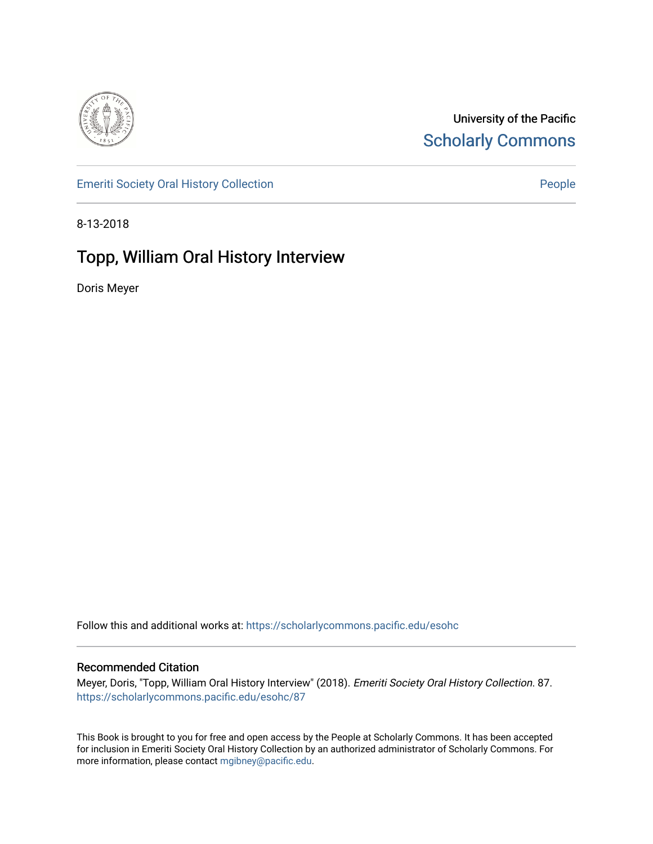

University of the Pacific [Scholarly Commons](https://scholarlycommons.pacific.edu/) 

[Emeriti Society Oral History Collection](https://scholarlycommons.pacific.edu/esohc) **People People** 

8-13-2018

# Topp, William Oral History Interview

Doris Meyer

Follow this and additional works at: [https://scholarlycommons.pacific.edu/esohc](https://scholarlycommons.pacific.edu/esohc?utm_source=scholarlycommons.pacific.edu%2Fesohc%2F87&utm_medium=PDF&utm_campaign=PDFCoverPages)

### Recommended Citation

Meyer, Doris, "Topp, William Oral History Interview" (2018). Emeriti Society Oral History Collection. 87. [https://scholarlycommons.pacific.edu/esohc/87](https://scholarlycommons.pacific.edu/esohc/87?utm_source=scholarlycommons.pacific.edu%2Fesohc%2F87&utm_medium=PDF&utm_campaign=PDFCoverPages) 

This Book is brought to you for free and open access by the People at Scholarly Commons. It has been accepted for inclusion in Emeriti Society Oral History Collection by an authorized administrator of Scholarly Commons. For more information, please contact [mgibney@pacific.edu](mailto:mgibney@pacific.edu).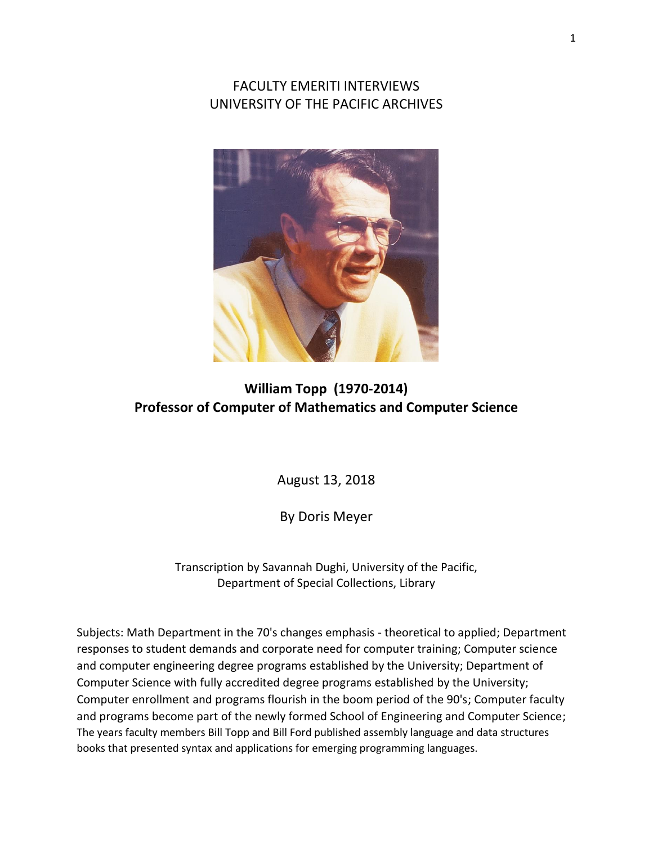FACULTY EMERITI INTERVIEWS UNIVERSITY OF THE PACIFIC ARCHIVES



## **William Topp (1970-2014) Professor of Computer of Mathematics and Computer Science**

August 13, 2018

By Doris Meyer

Transcription by Savannah Dughi, University of the Pacific, Department of Special Collections, Library

Subjects: Math Department in the 70's changes emphasis - theoretical to applied; Department responses to student demands and corporate need for computer training; Computer science and computer engineering degree programs established by the University; Department of Computer Science with fully accredited degree programs established by the University; Computer enrollment and programs flourish in the boom period of the 90's; Computer faculty and programs become part of the newly formed School of Engineering and Computer Science; The years faculty members Bill Topp and Bill Ford published assembly language and data structures books that presented syntax and applications for emerging programming languages.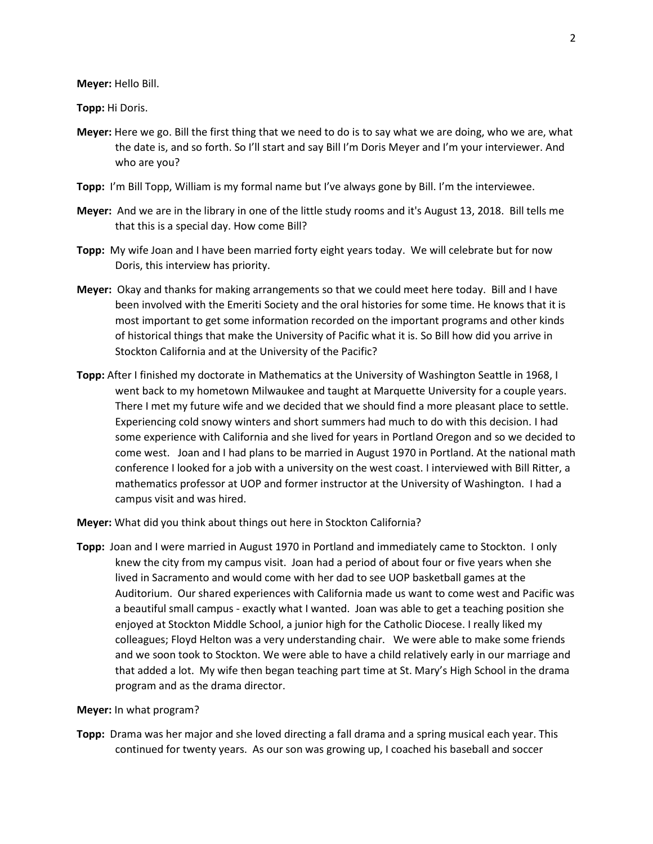**Meyer:** Hello Bill.

**Topp:** Hi Doris.

- **Meyer:** Here we go. Bill the first thing that we need to do is to say what we are doing, who we are, what the date is, and so forth. So I'll start and say Bill I'm Doris Meyer and I'm your interviewer. And who are you?
- **Topp:** I'm Bill Topp, William is my formal name but I've always gone by Bill. I'm the interviewee.
- **Meyer:** And we are in the library in one of the little study rooms and it's August 13, 2018. Bill tells me that this is a special day. How come Bill?
- **Topp:** My wife Joan and I have been married forty eight years today. We will celebrate but for now Doris, this interview has priority.
- **Meyer:** Okay and thanks for making arrangements so that we could meet here today. Bill and I have been involved with the Emeriti Society and the oral histories for some time. He knows that it is most important to get some information recorded on the important programs and other kinds of historical things that make the University of Pacific what it is. So Bill how did you arrive in Stockton California and at the University of the Pacific?
- **Topp:** After I finished my doctorate in Mathematics at the University of Washington Seattle in 1968, I went back to my hometown Milwaukee and taught at Marquette University for a couple years. There I met my future wife and we decided that we should find a more pleasant place to settle. Experiencing cold snowy winters and short summers had much to do with this decision. I had some experience with California and she lived for years in Portland Oregon and so we decided to come west. Joan and I had plans to be married in August 1970 in Portland. At the national math conference I looked for a job with a university on the west coast. I interviewed with Bill Ritter, a mathematics professor at UOP and former instructor at the University of Washington. I had a campus visit and was hired.

**Meyer:** What did you think about things out here in Stockton California?

**Topp:** Joan and I were married in August 1970 in Portland and immediately came to Stockton. I only knew the city from my campus visit. Joan had a period of about four or five years when she lived in Sacramento and would come with her dad to see UOP basketball games at the Auditorium. Our shared experiences with California made us want to come west and Pacific was a beautiful small campus - exactly what I wanted. Joan was able to get a teaching position she enjoyed at Stockton Middle School, a junior high for the Catholic Diocese. I really liked my colleagues; Floyd Helton was a very understanding chair. We were able to make some friends and we soon took to Stockton. We were able to have a child relatively early in our marriage and that added a lot. My wife then began teaching part time at St. Mary's High School in the drama program and as the drama director.

#### **Meyer:** In what program?

**Topp:** Drama was her major and she loved directing a fall drama and a spring musical each year. This continued for twenty years. As our son was growing up, I coached his baseball and soccer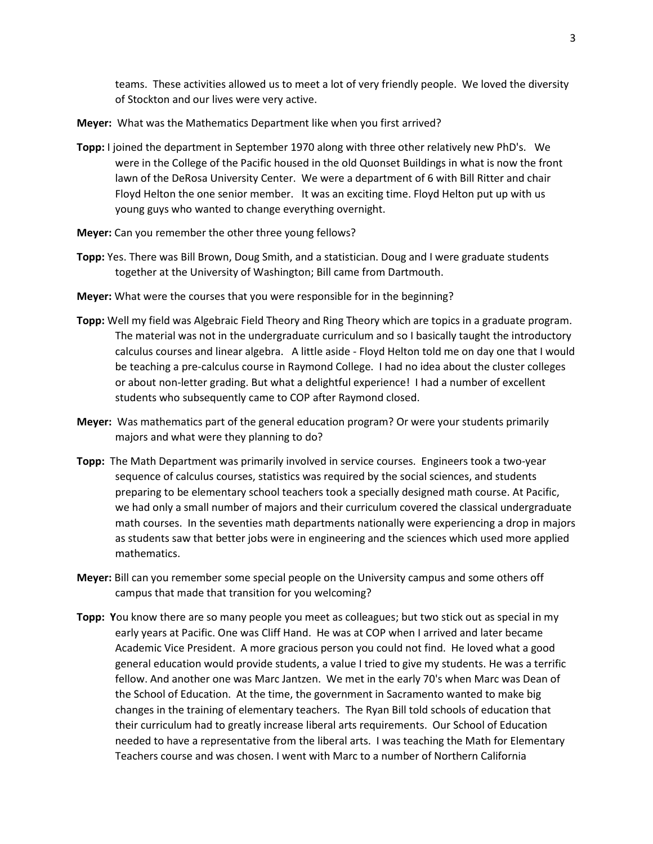teams. These activities allowed us to meet a lot of very friendly people. We loved the diversity of Stockton and our lives were very active.

- **Meyer:** What was the Mathematics Department like when you first arrived?
- **Topp:** I joined the department in September 1970 along with three other relatively new PhD's. We were in the College of the Pacific housed in the old Quonset Buildings in what is now the front lawn of the DeRosa University Center. We were a department of 6 with Bill Ritter and chair Floyd Helton the one senior member. It was an exciting time. Floyd Helton put up with us young guys who wanted to change everything overnight.
- **Meyer:** Can you remember the other three young fellows?
- **Topp:** Yes. There was Bill Brown, Doug Smith, and a statistician. Doug and I were graduate students together at the University of Washington; Bill came from Dartmouth.
- **Meyer:** What were the courses that you were responsible for in the beginning?
- **Topp:** Well my field was Algebraic Field Theory and Ring Theory which are topics in a graduate program. The material was not in the undergraduate curriculum and so I basically taught the introductory calculus courses and linear algebra. A little aside - Floyd Helton told me on day one that I would be teaching a pre-calculus course in Raymond College. I had no idea about the cluster colleges or about non-letter grading. But what a delightful experience! I had a number of excellent students who subsequently came to COP after Raymond closed.
- **Meyer:** Was mathematics part of the general education program? Or were your students primarily majors and what were they planning to do?
- **Topp:** The Math Department was primarily involved in service courses. Engineers took a two-year sequence of calculus courses, statistics was required by the social sciences, and students preparing to be elementary school teachers took a specially designed math course. At Pacific, we had only a small number of majors and their curriculum covered the classical undergraduate math courses. In the seventies math departments nationally were experiencing a drop in majors as students saw that better jobs were in engineering and the sciences which used more applied mathematics.
- **Meyer:** Bill can you remember some special people on the University campus and some others off campus that made that transition for you welcoming?
- **Topp: Y**ou know there are so many people you meet as colleagues; but two stick out as special in my early years at Pacific. One was Cliff Hand. He was at COP when I arrived and later became Academic Vice President. A more gracious person you could not find. He loved what a good general education would provide students, a value I tried to give my students. He was a terrific fellow. And another one was Marc Jantzen. We met in the early 70's when Marc was Dean of the School of Education. At the time, the government in Sacramento wanted to make big changes in the training of elementary teachers. The Ryan Bill told schools of education that their curriculum had to greatly increase liberal arts requirements. Our School of Education needed to have a representative from the liberal arts. I was teaching the Math for Elementary Teachers course and was chosen. I went with Marc to a number of Northern California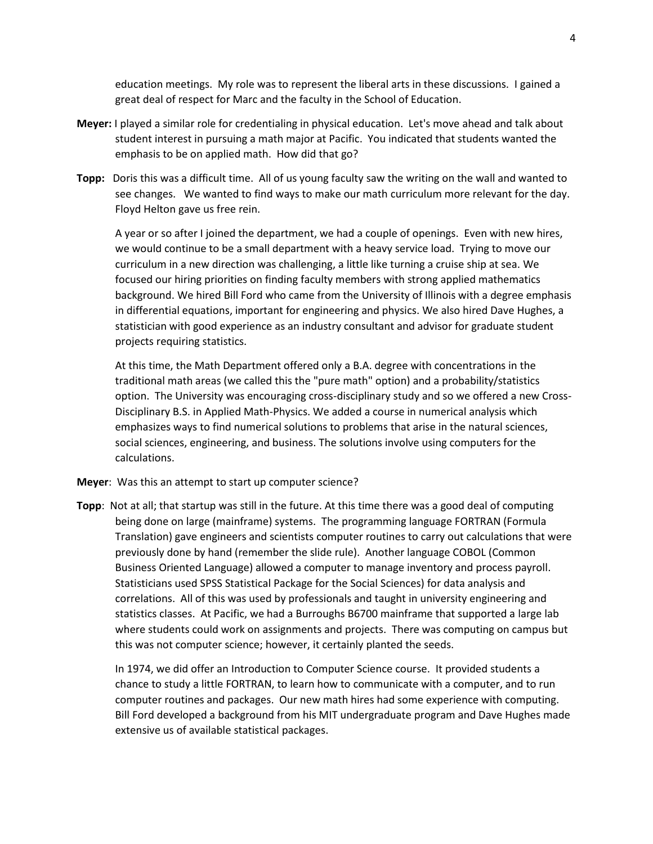education meetings. My role was to represent the liberal arts in these discussions. I gained a great deal of respect for Marc and the faculty in the School of Education.

- **Meyer:** I played a similar role for credentialing in physical education. Let's move ahead and talk about student interest in pursuing a math major at Pacific. You indicated that students wanted the emphasis to be on applied math. How did that go?
- **Topp:** Doris this was a difficult time. All of us young faculty saw the writing on the wall and wanted to see changes. We wanted to find ways to make our math curriculum more relevant for the day. Floyd Helton gave us free rein.

A year or so after I joined the department, we had a couple of openings. Even with new hires, we would continue to be a small department with a heavy service load. Trying to move our curriculum in a new direction was challenging, a little like turning a cruise ship at sea. We focused our hiring priorities on finding faculty members with strong applied mathematics background. We hired Bill Ford who came from the University of Illinois with a degree emphasis in differential equations, important for engineering and physics. We also hired Dave Hughes, a statistician with good experience as an industry consultant and advisor for graduate student projects requiring statistics.

At this time, the Math Department offered only a B.A. degree with concentrations in the traditional math areas (we called this the "pure math" option) and a probability/statistics option. The University was encouraging cross-disciplinary study and so we offered a new Cross-Disciplinary B.S. in Applied Math-Physics. We added a course in numerical analysis which emphasizes ways to find numerical solutions to problems that arise in the natural sciences, social sciences, engineering, and business. The solutions involve using computers for the calculations.

- **Meyer**: Was this an attempt to start up computer science?
- **Topp**: Not at all; that startup was still in the future. At this time there was a good deal of computing being done on large (mainframe) systems. The programming language FORTRAN (Formula Translation) gave engineers and scientists computer routines to carry out calculations that were previously done by hand (remember the slide rule). Another language COBOL (Common Business Oriented Language) allowed a computer to manage inventory and process payroll. Statisticians used SPSS Statistical Package for the Social Sciences) for data analysis and correlations. All of this was used by professionals and taught in university engineering and statistics classes. At Pacific, we had a Burroughs B6700 mainframe that supported a large lab where students could work on assignments and projects. There was computing on campus but this was not computer science; however, it certainly planted the seeds.

In 1974, we did offer an Introduction to Computer Science course. It provided students a chance to study a little FORTRAN, to learn how to communicate with a computer, and to run computer routines and packages. Our new math hires had some experience with computing. Bill Ford developed a background from his MIT undergraduate program and Dave Hughes made extensive us of available statistical packages.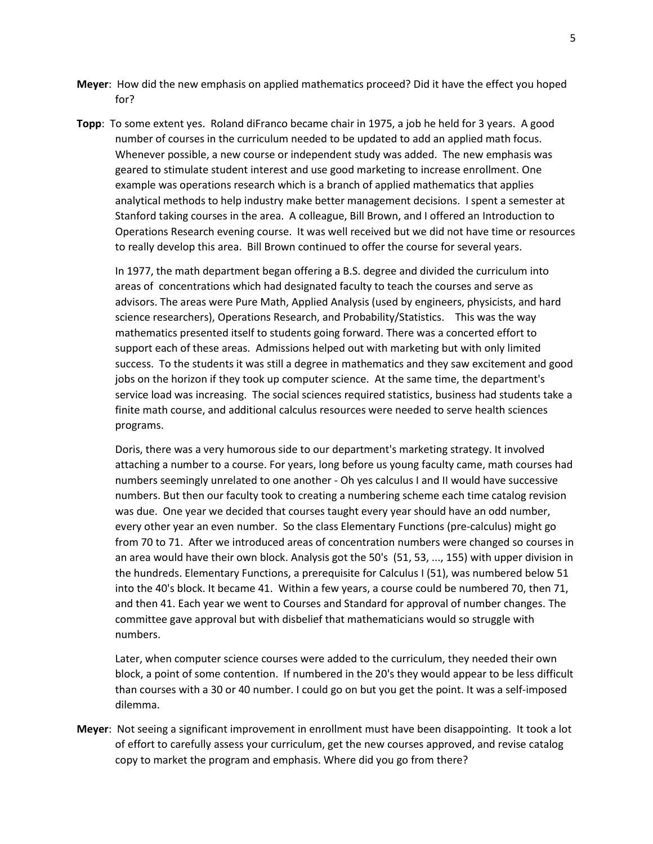- **Meyer**: How did the new emphasis on applied mathematics proceed? Did it have the effect you hoped for?
- **Topp**: To some extent yes. Roland diFranco became chair in 1975, a job he held for 3 years. A good number of courses in the curriculum needed to be updated to add an applied math focus. Whenever possible, a new course or independent study was added. The new emphasis was geared to stimulate student interest and use good marketing to increase enrollment. One example was operations research which is a branch of applied mathematics that applies analytical methods to help industry make better management decisions. I spent a semester at Stanford taking courses in the area. A colleague, Bill Brown, and I offered an Introduction to Operations Research evening course. It was well received but we did not have time or resources to really develop this area. Bill Brown continued to offer the course for several years.

In 1977, the math department began offering a B.S. degree and divided the curriculum into areas of concentrations which had designated faculty to teach the courses and serve as advisors. The areas were Pure Math, Applied Analysis (used by engineers, physicists, and hard science researchers), Operations Research, and Probability/Statistics. This was the way mathematics presented itself to students going forward. There was a concerted effort to support each of these areas. Admissions helped out with marketing but with only limited success. To the students it was still a degree in mathematics and they saw excitement and good jobs on the horizon if they took up computer science. At the same time, the department's service load was increasing. The social sciences required statistics, business had students take a finite math course, and additional calculus resources were needed to serve health sciences programs.

Doris, there was a very humorous side to our department's marketing strategy. It involved attaching a number to a course. For years, long before us young faculty came, math courses had numbers seemingly unrelated to one another - Oh yes calculus I and II would have successive numbers. But then our faculty took to creating a numbering scheme each time catalog revision was due. One year we decided that courses taught every year should have an odd number, every other year an even number. So the class Elementary Functions (pre-calculus) might go from 70 to 71. After we introduced areas of concentration numbers were changed so courses in an area would have their own block. Analysis got the 50's (51, 53, ..., 155) with upper division in the hundreds. Elementary Functions, a prerequisite for Calculus I (51), was numbered below 51 into the 40's block. It became 41. Within a few years, a course could be numbered 70, then 71, and then 41. Each year we went to Courses and Standard for approval of number changes. The committee gave approval but with disbelief that mathematicians would so struggle with numbers.

Later, when computer science courses were added to the curriculum, they needed their own block, a point of some contention. If numbered in the 20's they would appear to be less difficult than courses with a 30 or 40 number. I could go on but you get the point. It was a self-imposed dilemma.

**Meyer**: Not seeing a significant improvement in enrollment must have been disappointing. It took a lot of effort to carefully assess your curriculum, get the new courses approved, and revise catalog copy to market the program and emphasis. Where did you go from there?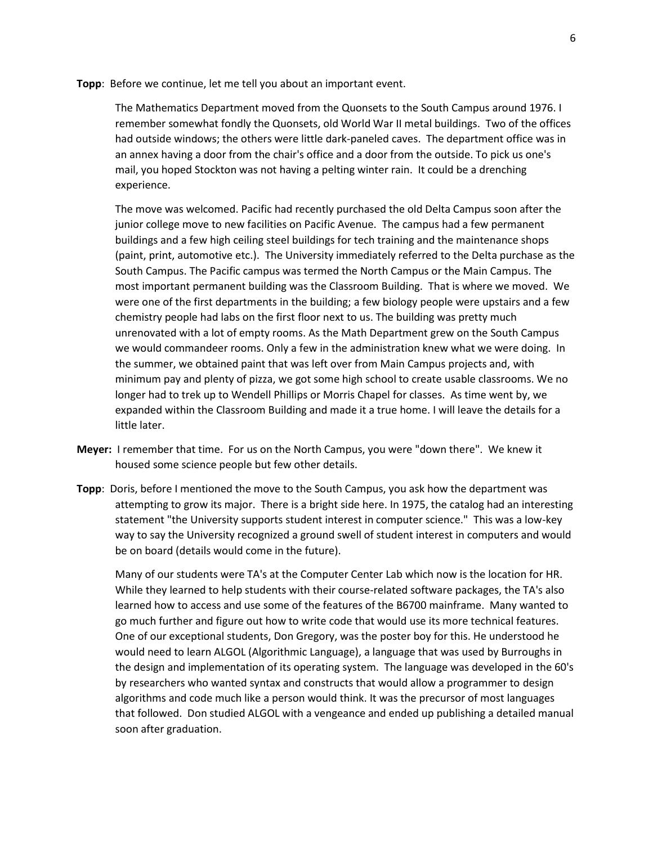**Topp**: Before we continue, let me tell you about an important event.

The Mathematics Department moved from the Quonsets to the South Campus around 1976. I remember somewhat fondly the Quonsets, old World War II metal buildings. Two of the offices had outside windows; the others were little dark-paneled caves. The department office was in an annex having a door from the chair's office and a door from the outside. To pick us one's mail, you hoped Stockton was not having a pelting winter rain. It could be a drenching experience.

The move was welcomed. Pacific had recently purchased the old Delta Campus soon after the junior college move to new facilities on Pacific Avenue. The campus had a few permanent buildings and a few high ceiling steel buildings for tech training and the maintenance shops (paint, print, automotive etc.). The University immediately referred to the Delta purchase as the South Campus. The Pacific campus was termed the North Campus or the Main Campus. The most important permanent building was the Classroom Building. That is where we moved. We were one of the first departments in the building; a few biology people were upstairs and a few chemistry people had labs on the first floor next to us. The building was pretty much unrenovated with a lot of empty rooms. As the Math Department grew on the South Campus we would commandeer rooms. Only a few in the administration knew what we were doing. In the summer, we obtained paint that was left over from Main Campus projects and, with minimum pay and plenty of pizza, we got some high school to create usable classrooms. We no longer had to trek up to Wendell Phillips or Morris Chapel for classes. As time went by, we expanded within the Classroom Building and made it a true home. I will leave the details for a little later.

- **Meyer:** I remember that time. For us on the North Campus, you were "down there". We knew it housed some science people but few other details.
- **Topp**: Doris, before I mentioned the move to the South Campus, you ask how the department was attempting to grow its major. There is a bright side here. In 1975, the catalog had an interesting statement "the University supports student interest in computer science." This was a low-key way to say the University recognized a ground swell of student interest in computers and would be on board (details would come in the future).

Many of our students were TA's at the Computer Center Lab which now is the location for HR. While they learned to help students with their course-related software packages, the TA's also learned how to access and use some of the features of the B6700 mainframe. Many wanted to go much further and figure out how to write code that would use its more technical features. One of our exceptional students, Don Gregory, was the poster boy for this. He understood he would need to learn ALGOL (Algorithmic Language), a language that was used by Burroughs in the design and implementation of its operating system. The language was developed in the 60's by researchers who wanted syntax and constructs that would allow a programmer to design algorithms and code much like a person would think. It was the precursor of most languages that followed. Don studied ALGOL with a vengeance and ended up publishing a detailed manual soon after graduation.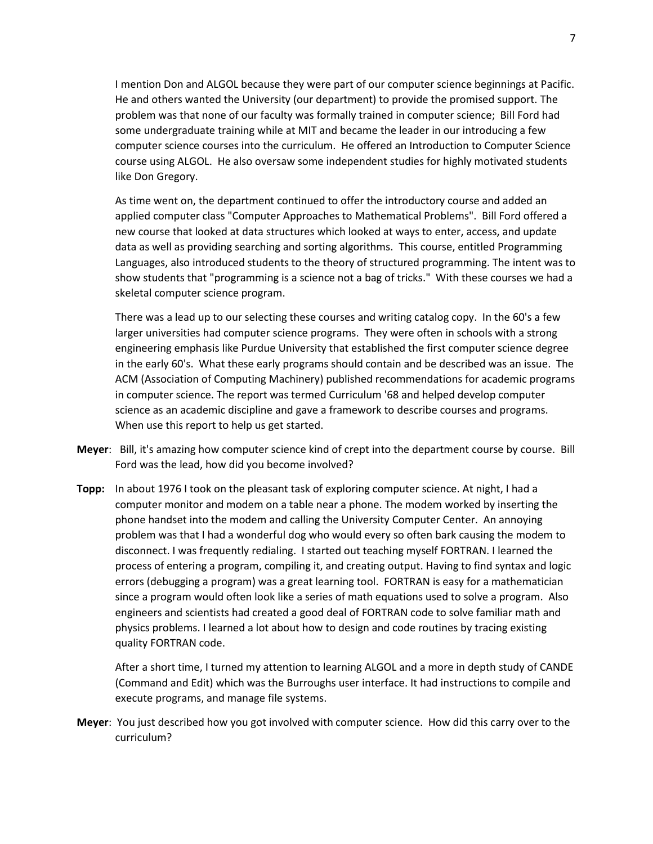I mention Don and ALGOL because they were part of our computer science beginnings at Pacific. He and others wanted the University (our department) to provide the promised support. The problem was that none of our faculty was formally trained in computer science; Bill Ford had some undergraduate training while at MIT and became the leader in our introducing a few computer science courses into the curriculum. He offered an Introduction to Computer Science course using ALGOL. He also oversaw some independent studies for highly motivated students like Don Gregory.

As time went on, the department continued to offer the introductory course and added an applied computer class "Computer Approaches to Mathematical Problems". Bill Ford offered a new course that looked at data structures which looked at ways to enter, access, and update data as well as providing searching and sorting algorithms. This course, entitled Programming Languages, also introduced students to the theory of structured programming. The intent was to show students that "programming is a science not a bag of tricks." With these courses we had a skeletal computer science program.

There was a lead up to our selecting these courses and writing catalog copy. In the 60's a few larger universities had computer science programs. They were often in schools with a strong engineering emphasis like Purdue University that established the first computer science degree in the early 60's. What these early programs should contain and be described was an issue. The ACM (Association of Computing Machinery) published recommendations for academic programs in computer science. The report was termed Curriculum '68 and helped develop computer science as an academic discipline and gave a framework to describe courses and programs. When use this report to help us get started.

- **Meyer**: Bill, it's amazing how computer science kind of crept into the department course by course. Bill Ford was the lead, how did you become involved?
- **Topp:** In about 1976 I took on the pleasant task of exploring computer science. At night, I had a computer monitor and modem on a table near a phone. The modem worked by inserting the phone handset into the modem and calling the University Computer Center. An annoying problem was that I had a wonderful dog who would every so often bark causing the modem to disconnect. I was frequently redialing. I started out teaching myself FORTRAN. I learned the process of entering a program, compiling it, and creating output. Having to find syntax and logic errors (debugging a program) was a great learning tool. FORTRAN is easy for a mathematician since a program would often look like a series of math equations used to solve a program. Also engineers and scientists had created a good deal of FORTRAN code to solve familiar math and physics problems. I learned a lot about how to design and code routines by tracing existing quality FORTRAN code.

After a short time, I turned my attention to learning ALGOL and a more in depth study of CANDE (Command and Edit) which was the Burroughs user interface. It had instructions to compile and execute programs, and manage file systems.

**Meyer**: You just described how you got involved with computer science. How did this carry over to the curriculum?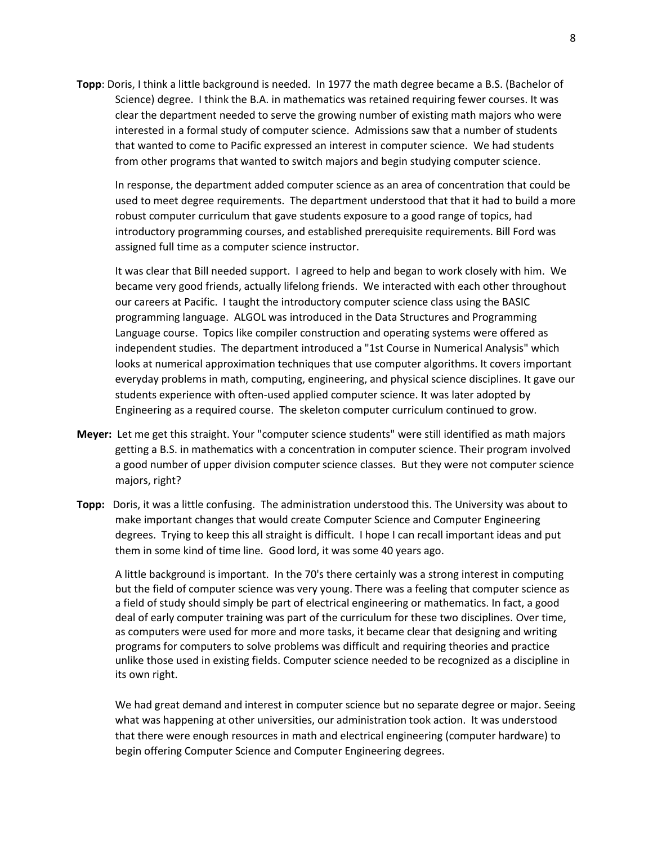**Topp**: Doris, I think a little background is needed. In 1977 the math degree became a B.S. (Bachelor of Science) degree. I think the B.A. in mathematics was retained requiring fewer courses. It was clear the department needed to serve the growing number of existing math majors who were interested in a formal study of computer science. Admissions saw that a number of students that wanted to come to Pacific expressed an interest in computer science. We had students from other programs that wanted to switch majors and begin studying computer science.

In response, the department added computer science as an area of concentration that could be used to meet degree requirements. The department understood that that it had to build a more robust computer curriculum that gave students exposure to a good range of topics, had introductory programming courses, and established prerequisite requirements. Bill Ford was assigned full time as a computer science instructor.

It was clear that Bill needed support. I agreed to help and began to work closely with him. We became very good friends, actually lifelong friends. We interacted with each other throughout our careers at Pacific. I taught the introductory computer science class using the BASIC programming language. ALGOL was introduced in the Data Structures and Programming Language course. Topics like compiler construction and operating systems were offered as independent studies. The department introduced a "1st Course in Numerical Analysis" which looks at numerical approximation techniques that use computer algorithms. It covers important everyday problems in math, computing, engineering, and physical science disciplines. It gave our students experience with often-used applied computer science. It was later adopted by Engineering as a required course. The skeleton computer curriculum continued to grow.

- **Meyer:** Let me get this straight. Your "computer science students" were still identified as math majors getting a B.S. in mathematics with a concentration in computer science. Their program involved a good number of upper division computer science classes. But they were not computer science majors, right?
- **Topp:** Doris, it was a little confusing. The administration understood this. The University was about to make important changes that would create Computer Science and Computer Engineering degrees. Trying to keep this all straight is difficult. I hope I can recall important ideas and put them in some kind of time line. Good lord, it was some 40 years ago.

A little background is important. In the 70's there certainly was a strong interest in computing but the field of computer science was very young. There was a feeling that computer science as a field of study should simply be part of electrical engineering or mathematics. In fact, a good deal of early computer training was part of the curriculum for these two disciplines. Over time, as computers were used for more and more tasks, it became clear that designing and writing programs for computers to solve problems was difficult and requiring theories and practice unlike those used in existing fields. Computer science needed to be recognized as a discipline in its own right.

We had great demand and interest in computer science but no separate degree or major. Seeing what was happening at other universities, our administration took action. It was understood that there were enough resources in math and electrical engineering (computer hardware) to begin offering Computer Science and Computer Engineering degrees.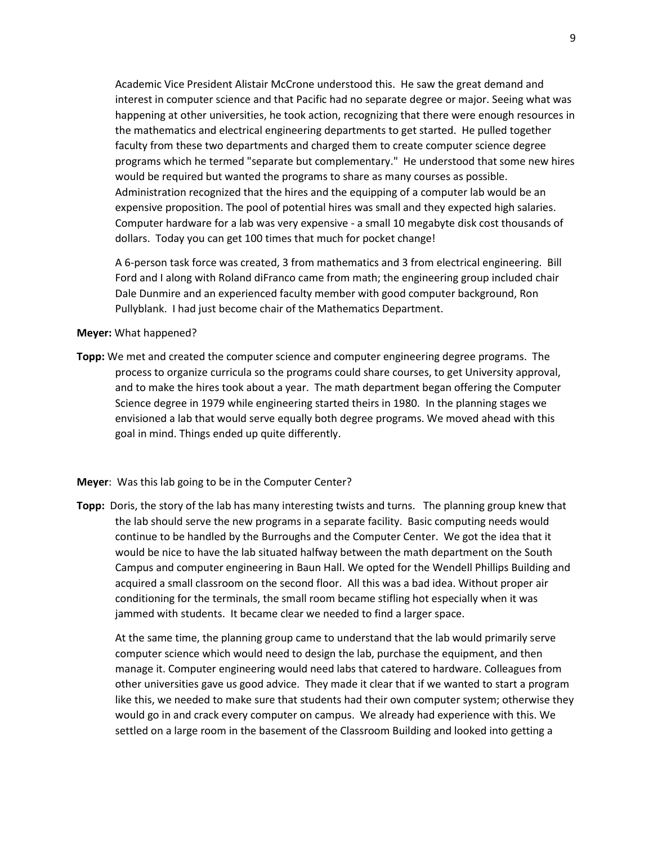Academic Vice President Alistair McCrone understood this. He saw the great demand and interest in computer science and that Pacific had no separate degree or major. Seeing what was happening at other universities, he took action, recognizing that there were enough resources in the mathematics and electrical engineering departments to get started. He pulled together faculty from these two departments and charged them to create computer science degree programs which he termed "separate but complementary." He understood that some new hires would be required but wanted the programs to share as many courses as possible. Administration recognized that the hires and the equipping of a computer lab would be an expensive proposition. The pool of potential hires was small and they expected high salaries. Computer hardware for a lab was very expensive - a small 10 megabyte disk cost thousands of dollars. Today you can get 100 times that much for pocket change!

A 6-person task force was created, 3 from mathematics and 3 from electrical engineering. Bill Ford and I along with Roland diFranco came from math; the engineering group included chair Dale Dunmire and an experienced faculty member with good computer background, Ron Pullyblank. I had just become chair of the Mathematics Department.

#### **Meyer:** What happened?

**Topp:** We met and created the computer science and computer engineering degree programs. The process to organize curricula so the programs could share courses, to get University approval, and to make the hires took about a year. The math department began offering the Computer Science degree in 1979 while engineering started theirs in 1980. In the planning stages we envisioned a lab that would serve equally both degree programs. We moved ahead with this goal in mind. Things ended up quite differently.

#### **Meyer**: Was this lab going to be in the Computer Center?

**Topp:** Doris, the story of the lab has many interesting twists and turns. The planning group knew that the lab should serve the new programs in a separate facility. Basic computing needs would continue to be handled by the Burroughs and the Computer Center. We got the idea that it would be nice to have the lab situated halfway between the math department on the South Campus and computer engineering in Baun Hall. We opted for the Wendell Phillips Building and acquired a small classroom on the second floor. All this was a bad idea. Without proper air conditioning for the terminals, the small room became stifling hot especially when it was jammed with students. It became clear we needed to find a larger space.

At the same time, the planning group came to understand that the lab would primarily serve computer science which would need to design the lab, purchase the equipment, and then manage it. Computer engineering would need labs that catered to hardware. Colleagues from other universities gave us good advice. They made it clear that if we wanted to start a program like this, we needed to make sure that students had their own computer system; otherwise they would go in and crack every computer on campus. We already had experience with this. We settled on a large room in the basement of the Classroom Building and looked into getting a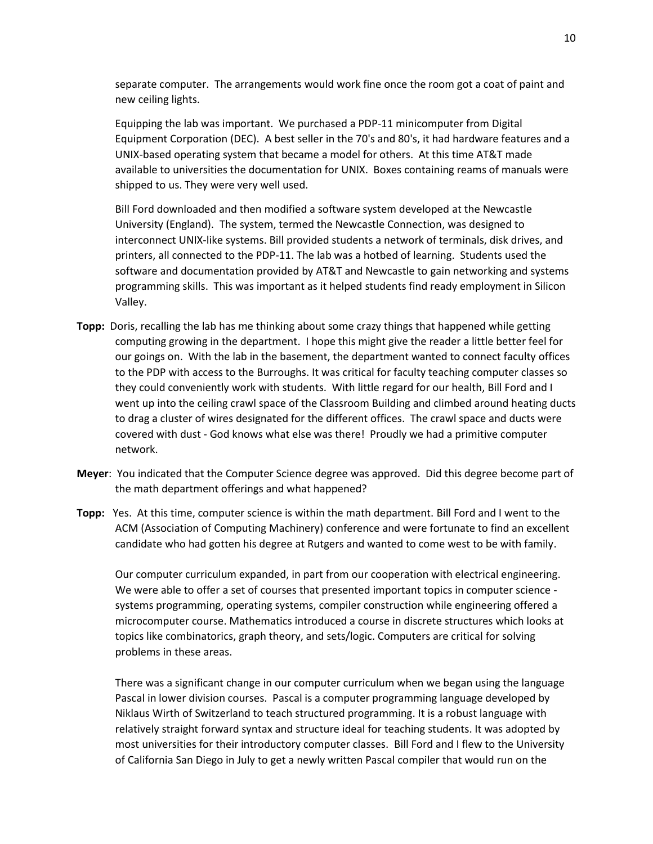separate computer. The arrangements would work fine once the room got a coat of paint and new ceiling lights.

Equipping the lab was important. We purchased a PDP-11 minicomputer from [Digital](https://en.wikipedia.org/wiki/Digital_Equipment_Corporation)  [Equipment Corporation](https://en.wikipedia.org/wiki/Digital_Equipment_Corporation) (DEC). A best seller in the 70's and 80's, it had hardware features and a UNIX-based operating system that became a model for others. At this time AT&T made available to universities the documentation for UNIX. Boxes containing reams of manuals were shipped to us. They were very well used.

Bill Ford downloaded and then modified a software system developed at the Newcastle University (England). The system, termed the Newcastle Connection, was designed to interconnect UNIX-like systems. Bill provided students a network of terminals, disk drives, and printers, all connected to the PDP-11. The lab was a hotbed of learning. Students used the software and documentation provided by AT&T and Newcastle to gain networking and systems programming skills. This was important as it helped students find ready employment in Silicon Valley.

- **Topp:** Doris, recalling the lab has me thinking about some crazy things that happened while getting computing growing in the department.I hope this might give the reader a little better feel for our goings on. With the lab in the basement, the department wanted to connect faculty offices to the PDP with access to the Burroughs. It was critical for faculty teaching computer classes so they could conveniently work with students. With little regard for our health, Bill Ford and I went up into the ceiling crawl space of the Classroom Building and climbed around heating ducts to drag a cluster of wires designated for the different offices. The crawl space and ducts were covered with dust - God knows what else was there! Proudly we had a primitive computer network.
- **Meyer**: You indicated that the Computer Science degree was approved. Did this degree become part of the math department offerings and what happened?
- **Topp:** Yes. At this time, computer science is within the math department. Bill Ford and I went to the ACM (Association of Computing Machinery) conference and were fortunate to find an excellent candidate who had gotten his degree at Rutgers and wanted to come west to be with family.

Our computer curriculum expanded, in part from our cooperation with electrical engineering. We were able to offer a set of courses that presented important topics in computer science systems programming, operating systems, compiler construction while engineering offered a microcomputer course. Mathematics introduced a course in discrete structures which looks at topics like combinatorics, graph theory, and sets/logic. Computers are critical for solving problems in these areas.

There was a significant change in our computer curriculum when we began using the language Pascal in lower division courses. Pascal is a computer programming language developed by Niklaus Wirth of Switzerland to teach structured programming. It is a robust language with relatively straight forward syntax and structure ideal for teaching students. It was adopted by most universities for their introductory computer classes. Bill Ford and I flew to the University of California San Diego in July to get a newly written Pascal compiler that would run on the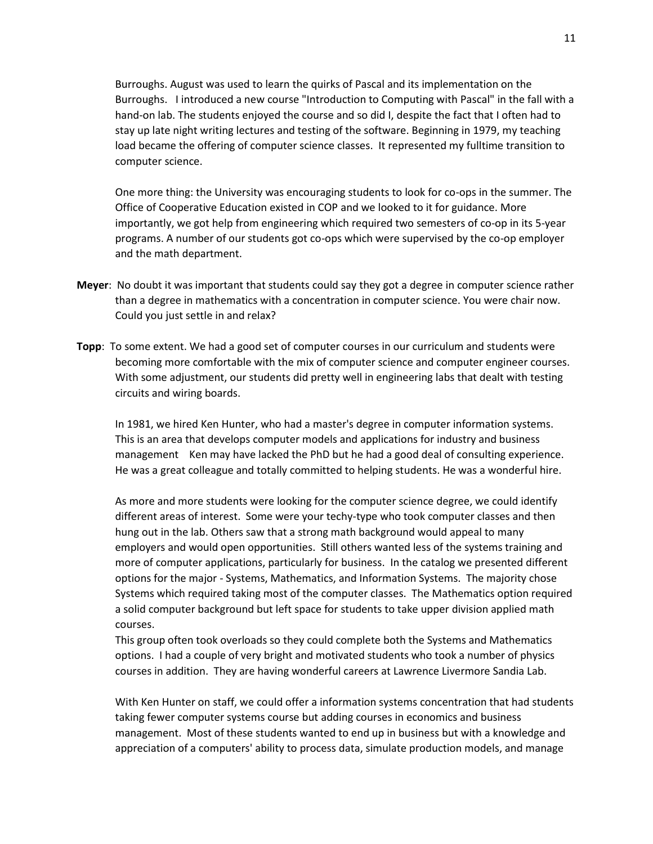Burroughs. August was used to learn the quirks of Pascal and its implementation on the Burroughs. I introduced a new course "Introduction to Computing with Pascal" in the fall with a hand-on lab. The students enjoyed the course and so did I, despite the fact that I often had to stay up late night writing lectures and testing of the software. Beginning in 1979, my teaching load became the offering of computer science classes. It represented my fulltime transition to computer science.

One more thing: the University was encouraging students to look for co-ops in the summer. The Office of Cooperative Education existed in COP and we looked to it for guidance. More importantly, we got help from engineering which required two semesters of co-op in its 5-year programs. A number of our students got co-ops which were supervised by the co-op employer and the math department.

- **Meyer**: No doubt it was important that students could say they got a degree in computer science rather than a degree in mathematics with a concentration in computer science. You were chair now. Could you just settle in and relax?
- **Topp**: To some extent. We had a good set of computer courses in our curriculum and students were becoming more comfortable with the mix of computer science and computer engineer courses. With some adjustment, our students did pretty well in engineering labs that dealt with testing circuits and wiring boards.

In 1981, we hired Ken Hunter, who had a master's degree in computer information systems. This is an area that develops computer models and applications for industry and business management Ken may have lacked the PhD but he had a good deal of consulting experience. He was a great colleague and totally committed to helping students. He was a wonderful hire.

As more and more students were looking for the computer science degree, we could identify different areas of interest. Some were your techy-type who took computer classes and then hung out in the lab. Others saw that a strong math background would appeal to many employers and would open opportunities. Still others wanted less of the systems training and more of computer applications, particularly for business. In the catalog we presented different options for the major - Systems, Mathematics, and Information Systems. The majority chose Systems which required taking most of the computer classes. The Mathematics option required a solid computer background but left space for students to take upper division applied math courses.

This group often took overloads so they could complete both the Systems and Mathematics options. I had a couple of very bright and motivated students who took a number of physics courses in addition. They are having wonderful careers at Lawrence Livermore Sandia Lab.

With Ken Hunter on staff, we could offer a information systems concentration that had students taking fewer computer systems course but adding courses in economics and business management. Most of these students wanted to end up in business but with a knowledge and appreciation of a computers' ability to process data, simulate production models, and manage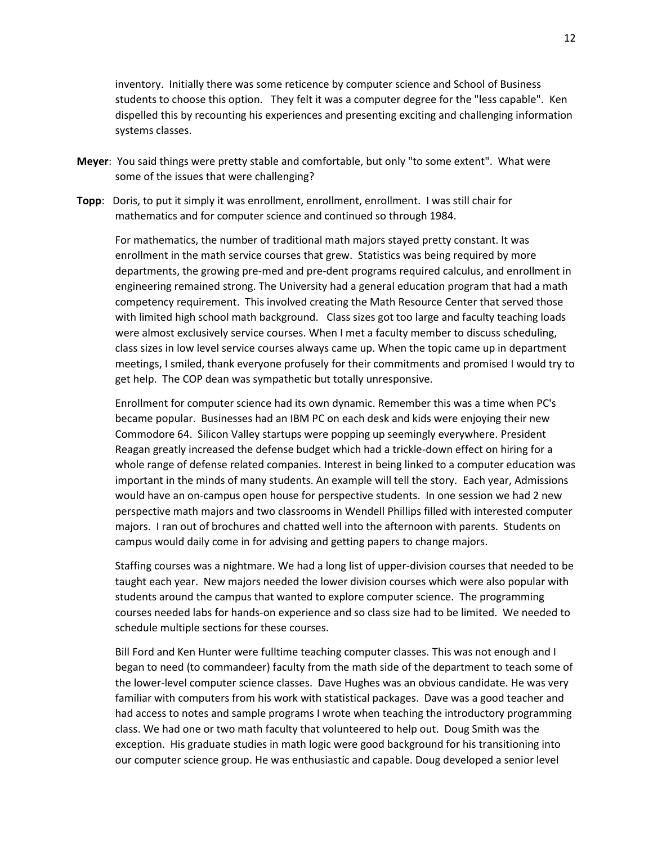inventory. Initially there was some reticence by computer science and School of Business students to choose this option. They felt it was a computer degree for the "less capable". Ken dispelled this by recounting his experiences and presenting exciting and challenging information systems classes.

- **Meyer**: You said things were pretty stable and comfortable, but only "to some extent". What were some of the issues that were challenging?
- **Topp**: Doris, to put it simply it was enrollment, enrollment, enrollment. I was still chair for mathematics and for computer science and continued so through 1984.

For mathematics, the number of traditional math majors stayed pretty constant. It was enrollment in the math service courses that grew. Statistics was being required by more departments, the growing pre-med and pre-dent programs required calculus, and enrollment in engineering remained strong. The University had a general education program that had a math competency requirement. This involved creating the Math Resource Center that served those with limited high school math background. Class sizes got too large and faculty teaching loads were almost exclusively service courses. When I met a faculty member to discuss scheduling, class sizes in low level service courses always came up. When the topic came up in department meetings, I smiled, thank everyone profusely for their commitments and promised I would try to get help. The COP dean was sympathetic but totally unresponsive.

Enrollment for computer science had its own dynamic. Remember this was a time when PC's became popular. Businesses had an IBM PC on each desk and kids were enjoying their new Commodore 64. Silicon Valley startups were popping up seemingly everywhere. President Reagan greatly increased the defense budget which had a trickle-down effect on hiring for a whole range of defense related companies. Interest in being linked to a computer education was important in the minds of many students. An example will tell the story. Each year, Admissions would have an on-campus open house for perspective students. In one session we had 2 new perspective math majors and two classrooms in Wendell Phillips filled with interested computer majors. I ran out of brochures and chatted well into the afternoon with parents. Students on campus would daily come in for advising and getting papers to change majors.

Staffing courses was a nightmare. We had a long list of upper-division courses that needed to be taught each year. New majors needed the lower division courses which were also popular with students around the campus that wanted to explore computer science. The programming courses needed labs for hands-on experience and so class size had to be limited. We needed to schedule multiple sections for these courses.

Bill Ford and Ken Hunter were fulltime teaching computer classes. This was not enough and I began to need (to commandeer) faculty from the math side of the department to teach some of the lower-level computer science classes. Dave Hughes was an obvious candidate. He was very familiar with computers from his work with statistical packages. Dave was a good teacher and had access to notes and sample programs I wrote when teaching the introductory programming class. We had one or two math faculty that volunteered to help out. Doug Smith was the exception. His graduate studies in math logic were good background for his transitioning into our computer science group. He was enthusiastic and capable. Doug developed a senior level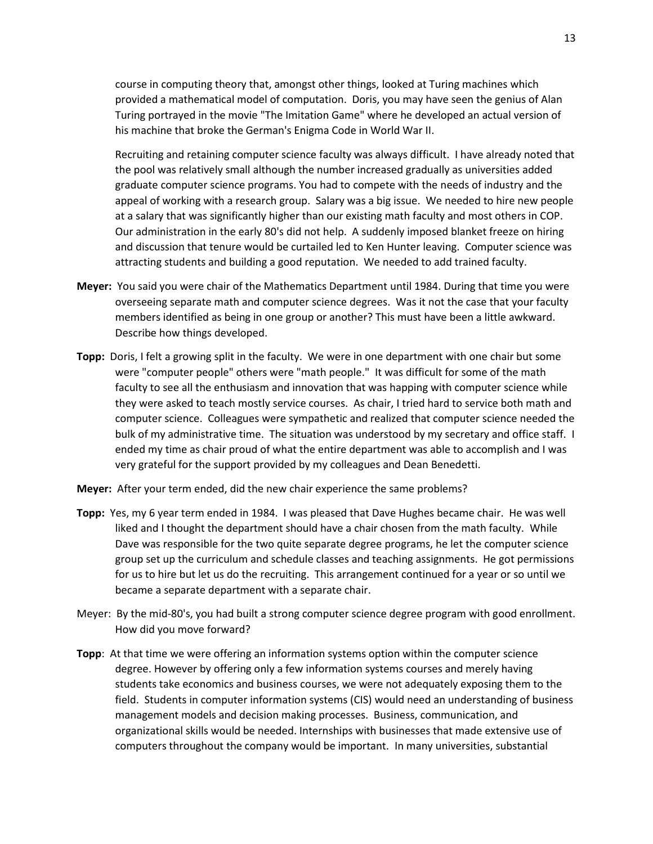course in computing theory that, amongst other things, looked at Turing machines which provided a mathematical model of computation. Doris, you may have seen the genius of Alan Turing portrayed in the movie "The Imitation Game" where he developed an actual version of his machine that broke the German's Enigma Code in World War II.

Recruiting and retaining computer science faculty was always difficult. I have already noted that the pool was relatively small although the number increased gradually as universities added graduate computer science programs. You had to compete with the needs of industry and the appeal of working with a research group. Salary was a big issue. We needed to hire new people at a salary that was significantly higher than our existing math faculty and most others in COP. Our administration in the early 80's did not help. A suddenly imposed blanket freeze on hiring and discussion that tenure would be curtailed led to Ken Hunter leaving. Computer science was attracting students and building a good reputation. We needed to add trained faculty.

- **Meyer:** You said you were chair of the Mathematics Department until 1984. During that time you were overseeing separate math and computer science degrees. Was it not the case that your faculty members identified as being in one group or another? This must have been a little awkward. Describe how things developed.
- **Topp:** Doris, I felt a growing split in the faculty. We were in one department with one chair but some were "computer people" others were "math people." It was difficult for some of the math faculty to see all the enthusiasm and innovation that was happing with computer science while they were asked to teach mostly service courses. As chair, I tried hard to service both math and computer science. Colleagues were sympathetic and realized that computer science needed the bulk of my administrative time. The situation was understood by my secretary and office staff. I ended my time as chair proud of what the entire department was able to accomplish and I was very grateful for the support provided by my colleagues and Dean Benedetti.
- **Meyer:** After your term ended, did the new chair experience the same problems?
- **Topp:** Yes, my 6 year term ended in 1984. I was pleased that Dave Hughes became chair. He was well liked and I thought the department should have a chair chosen from the math faculty. While Dave was responsible for the two quite separate degree programs, he let the computer science group set up the curriculum and schedule classes and teaching assignments. He got permissions for us to hire but let us do the recruiting. This arrangement continued for a year or so until we became a separate department with a separate chair.
- Meyer: By the mid-80's, you had built a strong computer science degree program with good enrollment. How did you move forward?
- **Topp**: At that time we were offering an information systems option within the computer science degree. However by offering only a few information systems courses and merely having students take economics and business courses, we were not adequately exposing them to the field. Students in computer information systems (CIS) would need an understanding of business management models and decision making processes. Business, communication, and organizational skills would be needed. Internships with businesses that made extensive use of computers throughout the company would be important. In many universities, substantial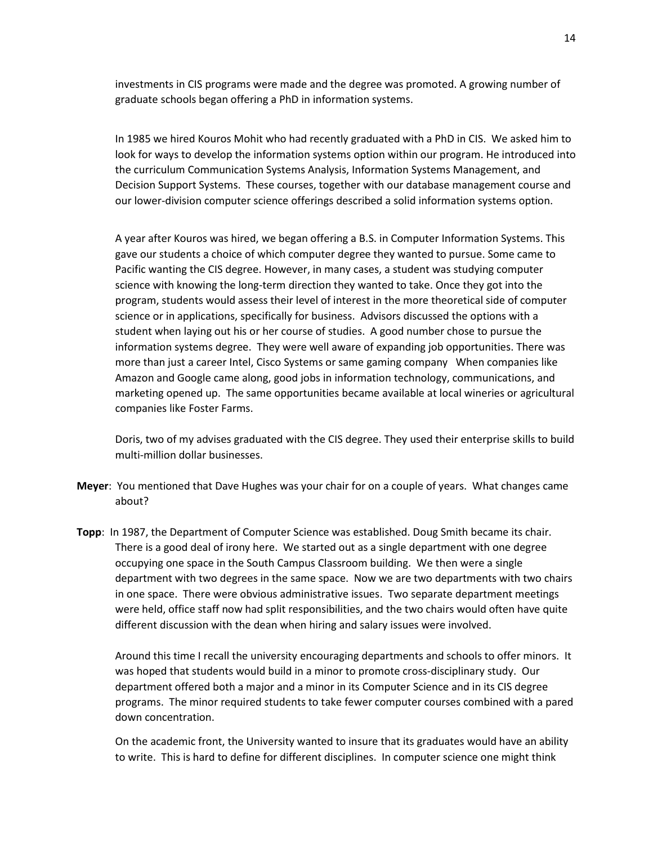investments in CIS programs were made and the degree was promoted. A growing number of graduate schools began offering a PhD in information systems.

In 1985 we hired Kouros Mohit who had recently graduated with a PhD in CIS. We asked him to look for ways to develop the information systems option within our program. He introduced into the curriculum Communication Systems Analysis, Information Systems Management, and Decision Support Systems. These courses, together with our database management course and our lower-division computer science offerings described a solid information systems option.

A year after Kouros was hired, we began offering a B.S. in Computer Information Systems. This gave our students a choice of which computer degree they wanted to pursue. Some came to Pacific wanting the CIS degree. However, in many cases, a student was studying computer science with knowing the long-term direction they wanted to take. Once they got into the program, students would assess their level of interest in the more theoretical side of computer science or in applications, specifically for business. Advisors discussed the options with a student when laying out his or her course of studies. A good number chose to pursue the information systems degree. They were well aware of expanding job opportunities. There was more than just a career Intel, Cisco Systems or same gaming company When companies like Amazon and Google came along, good jobs in information technology, communications, and marketing opened up. The same opportunities became available at local wineries or agricultural companies like Foster Farms.

Doris, two of my advises graduated with the CIS degree. They used their enterprise skills to build multi-million dollar businesses.

- **Meyer**: You mentioned that Dave Hughes was your chair for on a couple of years. What changes came about?
- **Topp**: In 1987, the Department of Computer Science was established. Doug Smith became its chair. There is a good deal of irony here. We started out as a single department with one degree occupying one space in the South Campus Classroom building. We then were a single department with two degrees in the same space. Now we are two departments with two chairs in one space. There were obvious administrative issues. Two separate department meetings were held, office staff now had split responsibilities, and the two chairs would often have quite different discussion with the dean when hiring and salary issues were involved.

Around this time I recall the university encouraging departments and schools to offer minors. It was hoped that students would build in a minor to promote cross-disciplinary study. Our department offered both a major and a minor in its Computer Science and in its CIS degree programs. The minor required students to take fewer computer courses combined with a pared down concentration.

On the academic front, the University wanted to insure that its graduates would have an ability to write. This is hard to define for different disciplines. In computer science one might think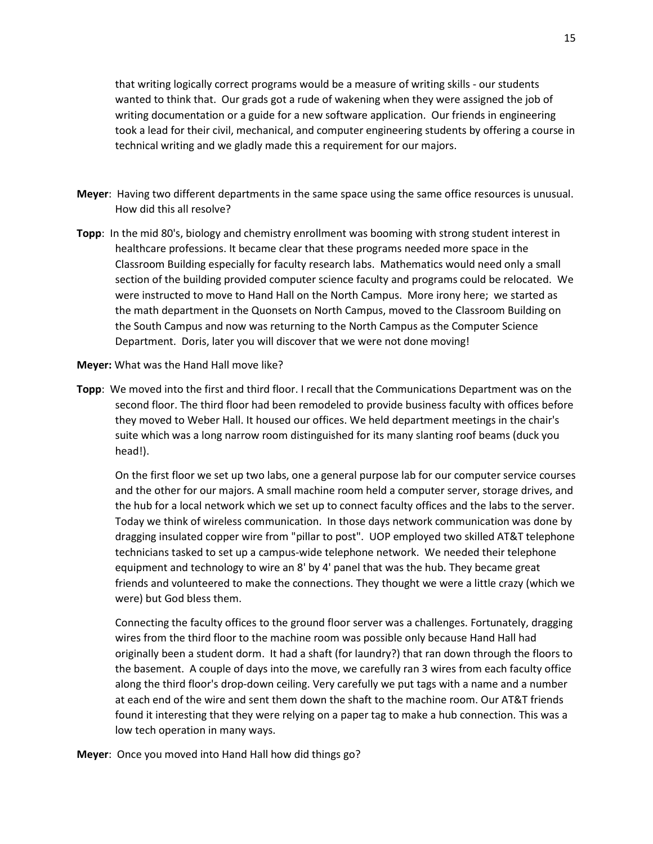that writing logically correct programs would be a measure of writing skills - our students wanted to think that. Our grads got a rude of wakening when they were assigned the job of writing documentation or a guide for a new software application. Our friends in engineering took a lead for their civil, mechanical, and computer engineering students by offering a course in technical writing and we gladly made this a requirement for our majors.

- **Meyer**: Having two different departments in the same space using the same office resources is unusual. How did this all resolve?
- **Topp**: In the mid 80's, biology and chemistry enrollment was booming with strong student interest in healthcare professions. It became clear that these programs needed more space in the Classroom Building especially for faculty research labs. Mathematics would need only a small section of the building provided computer science faculty and programs could be relocated. We were instructed to move to Hand Hall on the North Campus. More irony here; we started as the math department in the Quonsets on North Campus, moved to the Classroom Building on the South Campus and now was returning to the North Campus as the Computer Science Department. Doris, later you will discover that we were not done moving!
- **Meyer:** What was the Hand Hall move like?
- **Topp**: We moved into the first and third floor. I recall that the Communications Department was on the second floor. The third floor had been remodeled to provide business faculty with offices before they moved to Weber Hall. It housed our offices. We held department meetings in the chair's suite which was a long narrow room distinguished for its many slanting roof beams (duck you head!).

On the first floor we set up two labs, one a general purpose lab for our computer service courses and the other for our majors. A small machine room held a computer server, storage drives, and the hub for a local network which we set up to connect faculty offices and the labs to the server. Today we think of wireless communication. In those days network communication was done by dragging insulated copper wire from "pillar to post". UOP employed two skilled AT&T telephone technicians tasked to set up a campus-wide telephone network. We needed their telephone equipment and technology to wire an 8' by 4' panel that was the hub. They became great friends and volunteered to make the connections. They thought we were a little crazy (which we were) but God bless them.

Connecting the faculty offices to the ground floor server was a challenges. Fortunately, dragging wires from the third floor to the machine room was possible only because Hand Hall had originally been a student dorm. It had a shaft (for laundry?) that ran down through the floors to the basement. A couple of days into the move, we carefully ran 3 wires from each faculty office along the third floor's drop-down ceiling. Very carefully we put tags with a name and a number at each end of the wire and sent them down the shaft to the machine room. Our AT&T friends found it interesting that they were relying on a paper tag to make a hub connection. This was a low tech operation in many ways.

**Meyer**: Once you moved into Hand Hall how did things go?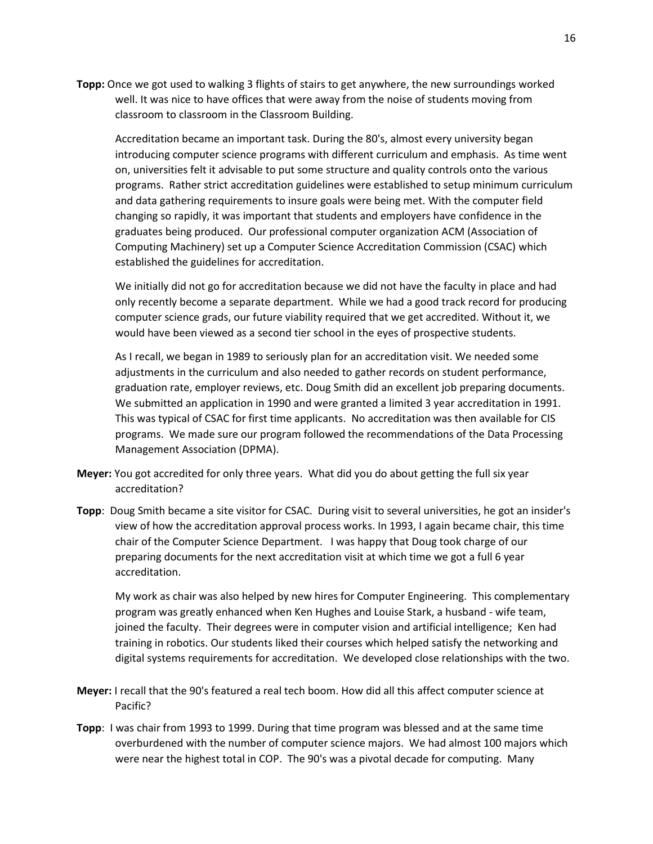**Topp:** Once we got used to walking 3 flights of stairs to get anywhere, the new surroundings worked well. It was nice to have offices that were away from the noise of students moving from classroom to classroom in the Classroom Building.

Accreditation became an important task. During the 80's, almost every university began introducing computer science programs with different curriculum and emphasis. As time went on, universities felt it advisable to put some structure and quality controls onto the various programs. Rather strict accreditation guidelines were established to setup minimum curriculum and data gathering requirements to insure goals were being met. With the computer field changing so rapidly, it was important that students and employers have confidence in the graduates being produced. Our professional computer organization ACM (Association of Computing Machinery) set up a Computer Science Accreditation Commission (CSAC) which established the guidelines for accreditation.

We initially did not go for accreditation because we did not have the faculty in place and had only recently become a separate department. While we had a good track record for producing computer science grads, our future viability required that we get accredited. Without it, we would have been viewed as a second tier school in the eyes of prospective students.

As I recall, we began in 1989 to seriously plan for an accreditation visit. We needed some adjustments in the curriculum and also needed to gather records on student performance, graduation rate, employer reviews, etc. Doug Smith did an excellent job preparing documents. We submitted an application in 1990 and were granted a limited 3 year accreditation in 1991. This was typical of CSAC for first time applicants. No accreditation was then available for CIS programs. We made sure our program followed the recommendations of the Data Processing Management Association (DPMA).

- **Meyer:** You got accredited for only three years. What did you do about getting the full six year accreditation?
- **Topp**: Doug Smith became a site visitor for CSAC. During visit to several universities, he got an insider's view of how the accreditation approval process works. In 1993, I again became chair, this time chair of the Computer Science Department. I was happy that Doug took charge of our preparing documents for the next accreditation visit at which time we got a full 6 year accreditation.

My work as chair was also helped by new hires for Computer Engineering. This complementary program was greatly enhanced when Ken Hughes and Louise Stark, a husband - wife team, joined the faculty. Their degrees were in computer vision and artificial intelligence; Ken had training in robotics. Our students liked their courses which helped satisfy the networking and digital systems requirements for accreditation. We developed close relationships with the two.

- **Meyer:** I recall that the 90's featured a real tech boom. How did all this affect computer science at Pacific?
- **Topp**: I was chair from 1993 to 1999. During that time program was blessed and at the same time overburdened with the number of computer science majors. We had almost 100 majors which were near the highest total in COP. The 90's was a pivotal decade for computing. Many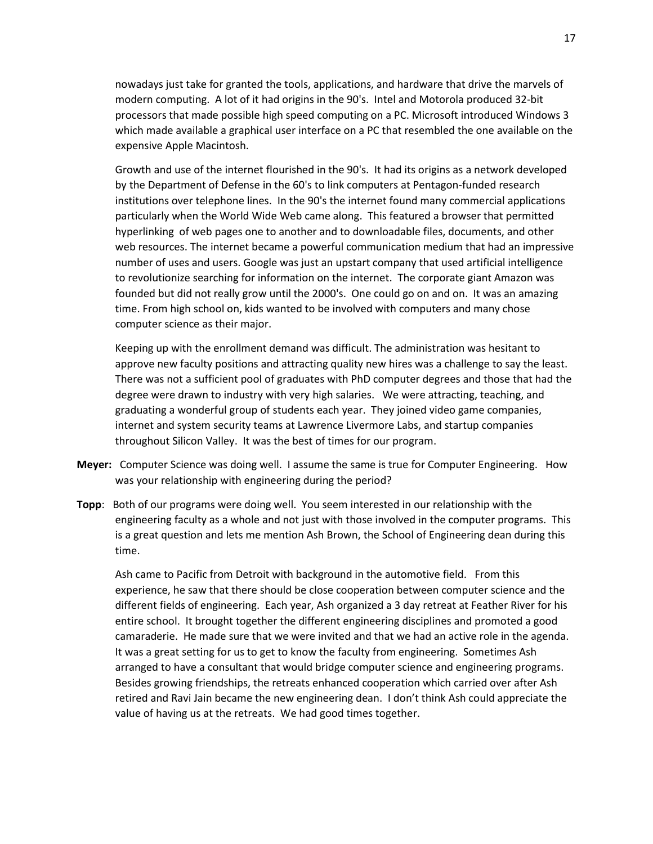nowadays just take for granted the tools, applications, and hardware that drive the marvels of modern computing. A lot of it had origins in the 90's. Intel and Motorola produced 32-bit processors that made possible high speed computing on a PC. Microsoft introduced Windows 3 which made available a graphical user interface on a PC that resembled the one available on the expensive Apple Macintosh.

Growth and use of the internet flourished in the 90's. It had its origins as a network developed by the Department of Defense in the 60's to link computers at Pentagon-funded research institutions over telephone lines. In the 90's the internet found many commercial applications particularly when the World Wide Web came along. This featured a browser that permitted hyperlinking of web pages one to another and to downloadable files, documents, and other web resources. The internet became a powerful communication medium that had an impressive number of uses and users. Google was just an upstart company that used artificial intelligence to revolutionize searching for information on the internet. The corporate giant Amazon was founded but did not really grow until the 2000's. One could go on and on. It was an amazing time. From high school on, kids wanted to be involved with computers and many chose computer science as their major.

Keeping up with the enrollment demand was difficult. The administration was hesitant to approve new faculty positions and attracting quality new hires was a challenge to say the least. There was not a sufficient pool of graduates with PhD computer degrees and those that had the degree were drawn to industry with very high salaries. We were attracting, teaching, and graduating a wonderful group of students each year. They joined video game companies, internet and system security teams at Lawrence Livermore Labs, and startup companies throughout Silicon Valley. It was the best of times for our program.

- **Meyer:** Computer Science was doing well. I assume the same is true for Computer Engineering. How was your relationship with engineering during the period?
- **Topp**: Both of our programs were doing well. You seem interested in our relationship with the engineering faculty as a whole and not just with those involved in the computer programs. This is a great question and lets me mention Ash Brown, the School of Engineering dean during this time.

Ash came to Pacific from Detroit with background in the automotive field. From this experience, he saw that there should be close cooperation between computer science and the different fields of engineering. Each year, Ash organized a 3 day retreat at Feather River for his entire school. It brought together the different engineering disciplines and promoted a good camaraderie. He made sure that we were invited and that we had an active role in the agenda. It was a great setting for us to get to know the faculty from engineering. Sometimes Ash arranged to have a consultant that would bridge computer science and engineering programs. Besides growing friendships, the retreats enhanced cooperation which carried over after Ash retired and Ravi Jain became the new engineering dean. I don't think Ash could appreciate the value of having us at the retreats. We had good times together.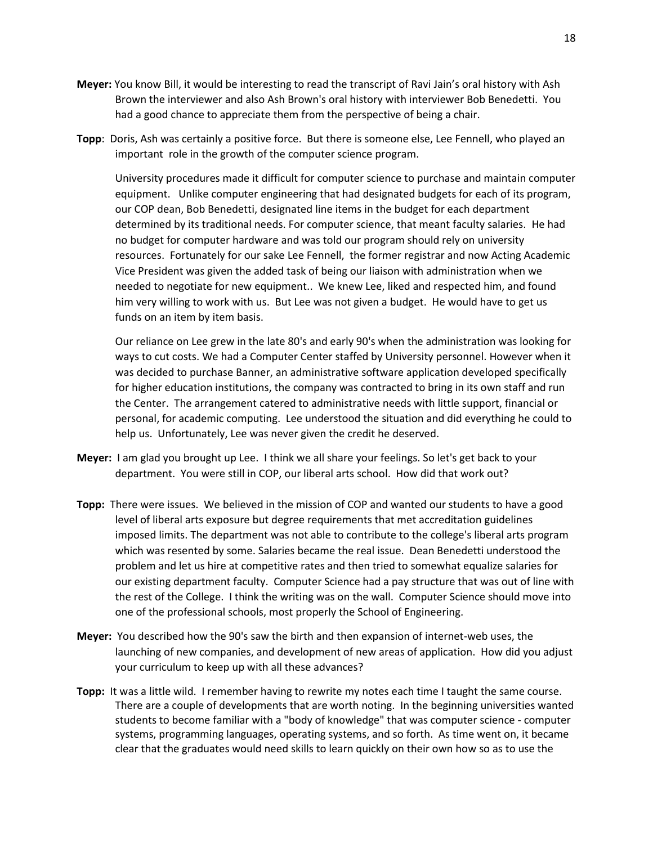- **Meyer:** You know Bill, it would be interesting to read the transcript of Ravi Jain's oral history with Ash Brown the interviewer and also Ash Brown's oral history with interviewer Bob Benedetti. You had a good chance to appreciate them from the perspective of being a chair.
- **Topp**: Doris, Ash was certainly a positive force. But there is someone else, Lee Fennell, who played an important role in the growth of the computer science program.

University procedures made it difficult for computer science to purchase and maintain computer equipment. Unlike computer engineering that had designated budgets for each of its program, our COP dean, Bob Benedetti, designated line items in the budget for each department determined by its traditional needs. For computer science, that meant faculty salaries. He had no budget for computer hardware and was told our program should rely on university resources. Fortunately for our sake Lee Fennell, the former registrar and now Acting Academic Vice President was given the added task of being our liaison with administration when we needed to negotiate for new equipment.. We knew Lee, liked and respected him, and found him very willing to work with us. But Lee was not given a budget. He would have to get us funds on an item by item basis.

Our reliance on Lee grew in the late 80's and early 90's when the administration was looking for ways to cut costs. We had a Computer Center staffed by University personnel. However when it was decided to purchase Banner, an administrative software application developed specifically for higher education institutions, the company was contracted to bring in its own staff and run the Center. The arrangement catered to administrative needs with little support, financial or personal, for academic computing. Lee understood the situation and did everything he could to help us. Unfortunately, Lee was never given the credit he deserved.

- **Meyer:** I am glad you brought up Lee. I think we all share your feelings. So let's get back to your department. You were still in COP, our liberal arts school. How did that work out?
- **Topp:** There were issues. We believed in the mission of COP and wanted our students to have a good level of liberal arts exposure but degree requirements that met accreditation guidelines imposed limits. The department was not able to contribute to the college's liberal arts program which was resented by some. Salaries became the real issue. Dean Benedetti understood the problem and let us hire at competitive rates and then tried to somewhat equalize salaries for our existing department faculty. Computer Science had a pay structure that was out of line with the rest of the College. I think the writing was on the wall. Computer Science should move into one of the professional schools, most properly the School of Engineering.
- **Meyer:** You described how the 90's saw the birth and then expansion of internet-web uses, the launching of new companies, and development of new areas of application. How did you adjust your curriculum to keep up with all these advances?
- **Topp:** It was a little wild. I remember having to rewrite my notes each time I taught the same course. There are a couple of developments that are worth noting. In the beginning universities wanted students to become familiar with a "body of knowledge" that was computer science - computer systems, programming languages, operating systems, and so forth. As time went on, it became clear that the graduates would need skills to learn quickly on their own how so as to use the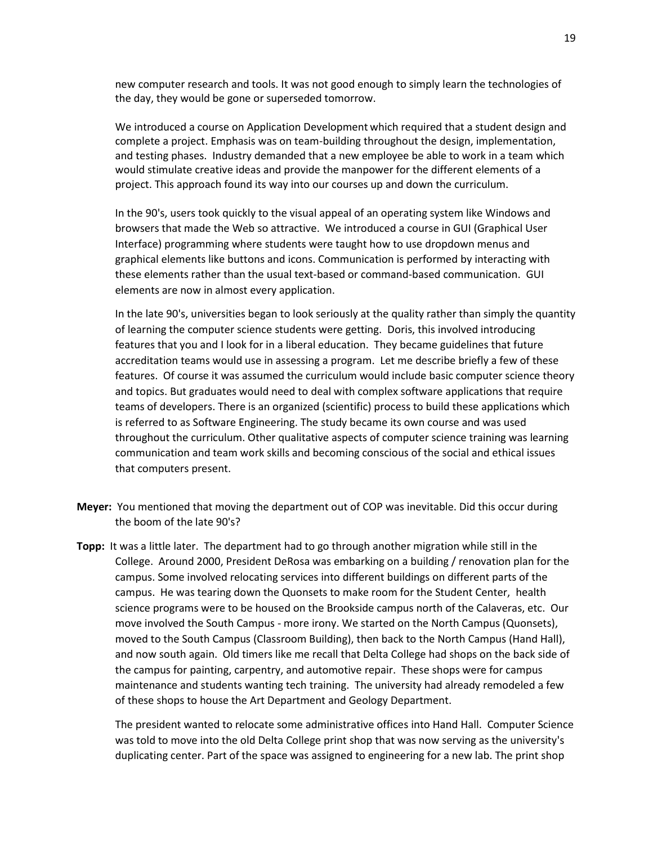new computer research and tools. It was not good enough to simply learn the technologies of the day, they would be gone or superseded tomorrow.

We introduced a course on Application Development which required that a student design and complete a project. Emphasis was on team-building throughout the design, implementation, and testing phases. Industry demanded that a new employee be able to work in a team which would stimulate creative ideas and provide the manpower for the different elements of a project. This approach found its way into our courses up and down the curriculum.

In the 90's, users took quickly to the visual appeal of an operating system like Windows and browsers that made the Web so attractive. We introduced a course in GUI (Graphical User Interface) programming where students were taught how to use dropdown menus and graphical elements like buttons and icons. Communication is performed by interacting with these elements rather than the usual text-based or command-based communication. GUI elements are now in almost every application.

In the late 90's, universities began to look seriously at the quality rather than simply the quantity of learning the computer science students were getting. Doris, this involved introducing features that you and I look for in a liberal education. They became guidelines that future accreditation teams would use in assessing a program. Let me describe briefly a few of these features. Of course it was assumed the curriculum would include basic computer science theory and topics. But graduates would need to deal with complex software applications that require teams of developers. There is an organized (scientific) process to build these applications which is referred to as Software Engineering. The study became its own course and was used throughout the curriculum. Other qualitative aspects of computer science training was learning communication and team work skills and becoming conscious of the social and ethical issues that computers present.

- **Meyer:** You mentioned that moving the department out of COP was inevitable. Did this occur during the boom of the late 90's?
- **Topp:** It was a little later. The department had to go through another migration while still in the College. Around 2000, President DeRosa was embarking on a building / renovation plan for the campus. Some involved relocating services into different buildings on different parts of the campus. He was tearing down the Quonsets to make room for the Student Center, health science programs were to be housed on the Brookside campus north of the Calaveras, etc. Our move involved the South Campus - more irony. We started on the North Campus (Quonsets), moved to the South Campus (Classroom Building), then back to the North Campus (Hand Hall), and now south again. Old timers like me recall that Delta College had shops on the back side of the campus for painting, carpentry, and automotive repair. These shops were for campus maintenance and students wanting tech training. The university had already remodeled a few of these shops to house the Art Department and Geology Department.

The president wanted to relocate some administrative offices into Hand Hall. Computer Science was told to move into the old Delta College print shop that was now serving as the university's duplicating center. Part of the space was assigned to engineering for a new lab. The print shop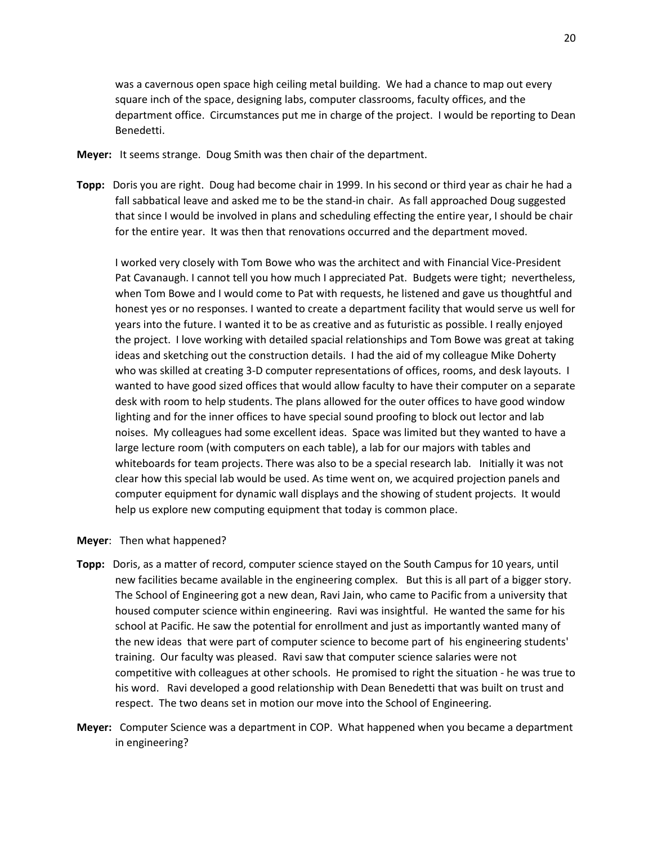was a cavernous open space high ceiling metal building. We had a chance to map out every square inch of the space, designing labs, computer classrooms, faculty offices, and the department office. Circumstances put me in charge of the project. I would be reporting to Dean Benedetti.

- **Meyer:** It seems strange. Doug Smith was then chair of the department.
- **Topp:** Doris you are right. Doug had become chair in 1999. In his second or third year as chair he had a fall sabbatical leave and asked me to be the stand-in chair. As fall approached Doug suggested that since I would be involved in plans and scheduling effecting the entire year, I should be chair for the entire year. It was then that renovations occurred and the department moved.

I worked very closely with Tom Bowe who was the architect and with Financial Vice-President Pat Cavanaugh. I cannot tell you how much I appreciated Pat. Budgets were tight; nevertheless, when Tom Bowe and I would come to Pat with requests, he listened and gave us thoughtful and honest yes or no responses. I wanted to create a department facility that would serve us well for years into the future. I wanted it to be as creative and as futuristic as possible. I really enjoyed the project. I love working with detailed spacial relationships and Tom Bowe was great at taking ideas and sketching out the construction details. I had the aid of my colleague Mike Doherty who was skilled at creating 3-D computer representations of offices, rooms, and desk layouts. I wanted to have good sized offices that would allow faculty to have their computer on a separate desk with room to help students. The plans allowed for the outer offices to have good window lighting and for the inner offices to have special sound proofing to block out lector and lab noises. My colleagues had some excellent ideas. Space was limited but they wanted to have a large lecture room (with computers on each table), a lab for our majors with tables and whiteboards for team projects. There was also to be a special research lab. Initially it was not clear how this special lab would be used. As time went on, we acquired projection panels and computer equipment for dynamic wall displays and the showing of student projects. It would help us explore new computing equipment that today is common place.

- **Meyer**: Then what happened?
- **Topp:** Doris, as a matter of record, computer science stayed on the South Campus for 10 years, until new facilities became available in the engineering complex. But this is all part of a bigger story. The School of Engineering got a new dean, Ravi Jain, who came to Pacific from a university that housed computer science within engineering. Ravi was insightful. He wanted the same for his school at Pacific. He saw the potential for enrollment and just as importantly wanted many of the new ideas that were part of computer science to become part of his engineering students' training. Our faculty was pleased. Ravi saw that computer science salaries were not competitive with colleagues at other schools. He promised to right the situation - he was true to his word. Ravi developed a good relationship with Dean Benedetti that was built on trust and respect. The two deans set in motion our move into the School of Engineering.
- **Meyer:** Computer Science was a department in COP. What happened when you became a department in engineering?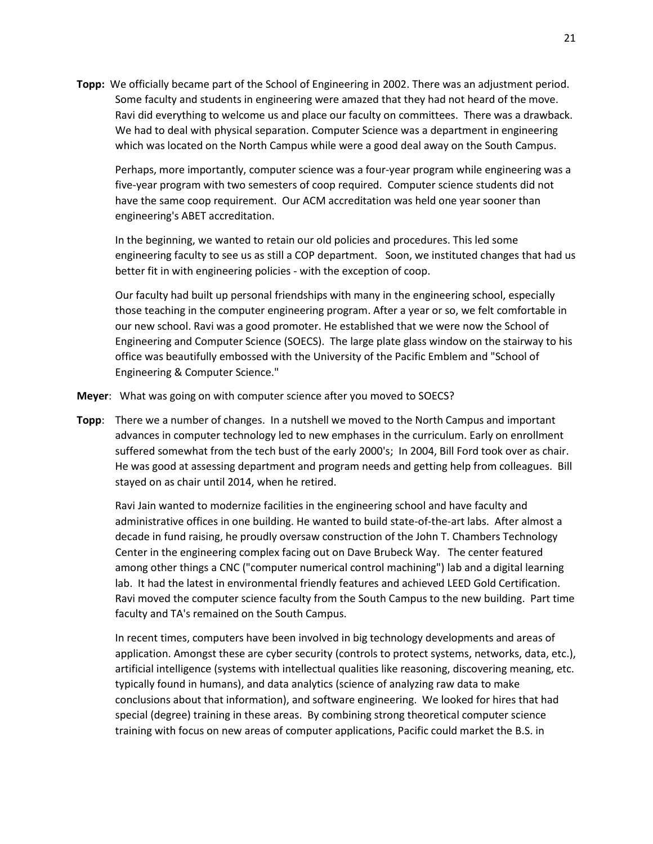**Topp:** We officially became part of the School of Engineering in 2002. There was an adjustment period. Some faculty and students in engineering were amazed that they had not heard of the move. Ravi did everything to welcome us and place our faculty on committees. There was a drawback. We had to deal with physical separation. Computer Science was a department in engineering which was located on the North Campus while were a good deal away on the South Campus.

Perhaps, more importantly, computer science was a four-year program while engineering was a five-year program with two semesters of coop required. Computer science students did not have the same coop requirement. Our ACM accreditation was held one year sooner than engineering's ABET accreditation.

In the beginning, we wanted to retain our old policies and procedures. This led some engineering faculty to see us as still a COP department. Soon, we instituted changes that had us better fit in with engineering policies - with the exception of coop.

Our faculty had built up personal friendships with many in the engineering school, especially those teaching in the computer engineering program. After a year or so, we felt comfortable in our new school. Ravi was a good promoter. He established that we were now the School of Engineering and Computer Science (SOECS). The large plate glass window on the stairway to his office was beautifully embossed with the University of the Pacific Emblem and "School of Engineering & Computer Science."

- **Meyer**: What was going on with computer science after you moved to SOECS?
- **Topp**: There we a number of changes. In a nutshell we moved to the North Campus and important advances in computer technology led to new emphases in the curriculum. Early on enrollment suffered somewhat from the tech bust of the early 2000's; In 2004, Bill Ford took over as chair. He was good at assessing department and program needs and getting help from colleagues. Bill stayed on as chair until 2014, when he retired.

Ravi Jain wanted to modernize facilities in the engineering school and have faculty and administrative offices in one building. He wanted to build state-of-the-art labs. After almost a decade in fund raising, he proudly oversaw construction of the John T. Chambers Technology Center in the engineering complex facing out on Dave Brubeck Way. The center featured among other things a CNC ("computer numerical control machining") lab and a digital learning lab. It had the latest in environmental friendly features and achieved LEED Gold Certification. Ravi moved the computer science faculty from the South Campus to the new building. Part time faculty and TA's remained on the South Campus.

In recent times, computers have been involved in big technology developments and areas of application. Amongst these are cyber security (controls to protect systems, networks, data, etc.), artificial intelligence (systems with intellectual qualities like reasoning, discovering meaning, etc. typically found in humans), and data analytics (science of analyzing raw data to make conclusions about that information), and software engineering. We looked for hires that had special (degree) training in these areas. By combining strong theoretical computer science training with focus on new areas of computer applications, Pacific could market the B.S. in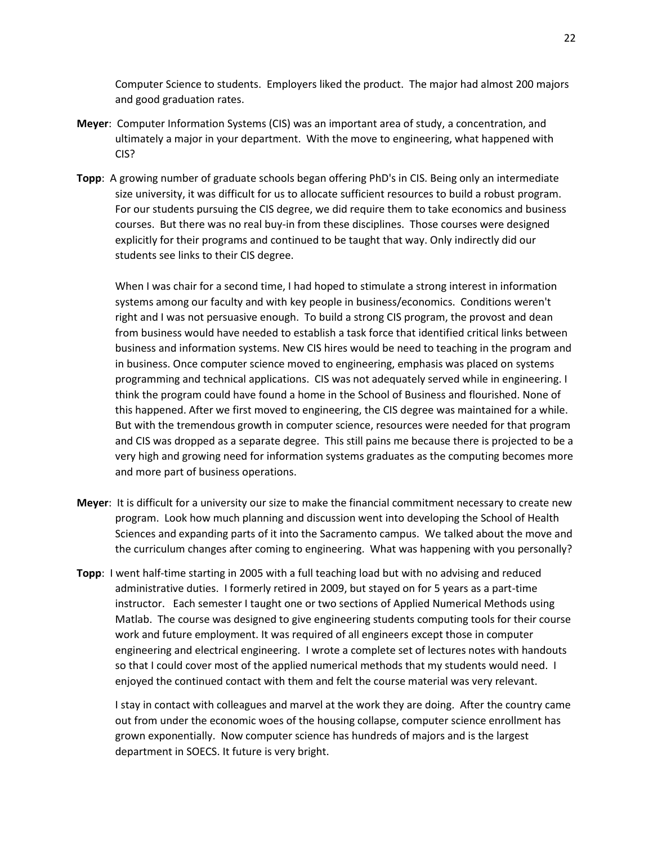Computer Science to students. Employers liked the product. The major had almost 200 majors and good graduation rates.

- **Meyer**: Computer Information Systems (CIS) was an important area of study, a concentration, and ultimately a major in your department. With the move to engineering, what happened with CIS?
- **Topp**: A growing number of graduate schools began offering PhD's in CIS. Being only an intermediate size university, it was difficult for us to allocate sufficient resources to build a robust program. For our students pursuing the CIS degree, we did require them to take economics and business courses. But there was no real buy-in from these disciplines. Those courses were designed explicitly for their programs and continued to be taught that way. Only indirectly did our students see links to their CIS degree.

When I was chair for a second time, I had hoped to stimulate a strong interest in information systems among our faculty and with key people in business/economics. Conditions weren't right and I was not persuasive enough. To build a strong CIS program, the provost and dean from business would have needed to establish a task force that identified critical links between business and information systems. New CIS hires would be need to teaching in the program and in business. Once computer science moved to engineering, emphasis was placed on systems programming and technical applications. CIS was not adequately served while in engineering. I think the program could have found a home in the School of Business and flourished. None of this happened. After we first moved to engineering, the CIS degree was maintained for a while. But with the tremendous growth in computer science, resources were needed for that program and CIS was dropped as a separate degree. This still pains me because there is projected to be a very high and growing need for information systems graduates as the computing becomes more and more part of business operations.

- **Meyer**: It is difficult for a university our size to make the financial commitment necessary to create new program. Look how much planning and discussion went into developing the School of Health Sciences and expanding parts of it into the Sacramento campus. We talked about the move and the curriculum changes after coming to engineering. What was happening with you personally?
- **Topp**: I went half-time starting in 2005 with a full teaching load but with no advising and reduced administrative duties. I formerly retired in 2009, but stayed on for 5 years as a part-time instructor. Each semester I taught one or two sections of Applied Numerical Methods using Matlab. The course was designed to give engineering students computing tools for their course work and future employment. It was required of all engineers except those in computer engineering and electrical engineering. I wrote a complete set of lectures notes with handouts so that I could cover most of the applied numerical methods that my students would need. I enjoyed the continued contact with them and felt the course material was very relevant.

I stay in contact with colleagues and marvel at the work they are doing. After the country came out from under the economic woes of the housing collapse, computer science enrollment has grown exponentially. Now computer science has hundreds of majors and is the largest department in SOECS. It future is very bright.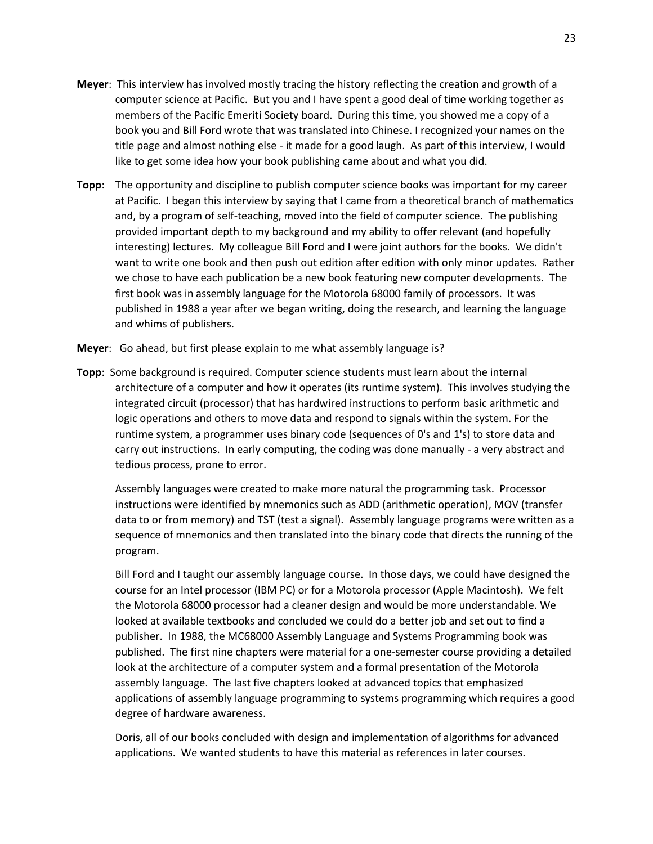- **Meyer**: This interview has involved mostly tracing the history reflecting the creation and growth of a computer science at Pacific. But you and I have spent a good deal of time working together as members of the Pacific Emeriti Society board. During this time, you showed me a copy of a book you and Bill Ford wrote that was translated into Chinese. I recognized your names on the title page and almost nothing else - it made for a good laugh. As part of this interview, I would like to get some idea how your book publishing came about and what you did.
- **Topp**: The opportunity and discipline to publish computer science books was important for my career at Pacific. I began this interview by saying that I came from a theoretical branch of mathematics and, by a program of self-teaching, moved into the field of computer science. The publishing provided important depth to my background and my ability to offer relevant (and hopefully interesting) lectures. My colleague Bill Ford and I were joint authors for the books. We didn't want to write one book and then push out edition after edition with only minor updates. Rather we chose to have each publication be a new book featuring new computer developments. The first book was in assembly language for the Motorola 68000 family of processors. It was published in 1988 a year after we began writing, doing the research, and learning the language and whims of publishers.
- **Meyer**: Go ahead, but first please explain to me what assembly language is?
- **Topp**: Some background is required. Computer science students must learn about the internal architecture of a computer and how it operates (its runtime system). This involves studying the integrated circuit (processor) that has hardwired instructions to perform basic arithmetic and logic operations and others to move data and respond to signals within the system. For the runtime system, a programmer uses binary code (sequences of 0's and 1's) to store data and carry out instructions. In early computing, the coding was done manually - a very abstract and tedious process, prone to error.

Assembly languages were created to make more natural the programming task. Processor instructions were identified by mnemonics such as ADD (arithmetic operation), MOV (transfer data to or from memory) and TST (test a signal). Assembly language programs were written as a sequence of mnemonics and then translated into the binary code that directs the running of the program.

Bill Ford and I taught our assembly language course. In those days, we could have designed the course for an Intel processor (IBM PC) or for a Motorola processor (Apple Macintosh). We felt the Motorola 68000 processor had a cleaner design and would be more understandable. We looked at available textbooks and concluded we could do a better job and set out to find a publisher. In 1988, the MC68000 Assembly Language and Systems Programming book was published. The first nine chapters were material for a one-semester course providing a detailed look at the architecture of a computer system and a formal presentation of the Motorola assembly language. The last five chapters looked at advanced topics that emphasized applications of assembly language programming to systems programming which requires a good degree of hardware awareness.

Doris, all of our books concluded with design and implementation of algorithms for advanced applications. We wanted students to have this material as references in later courses.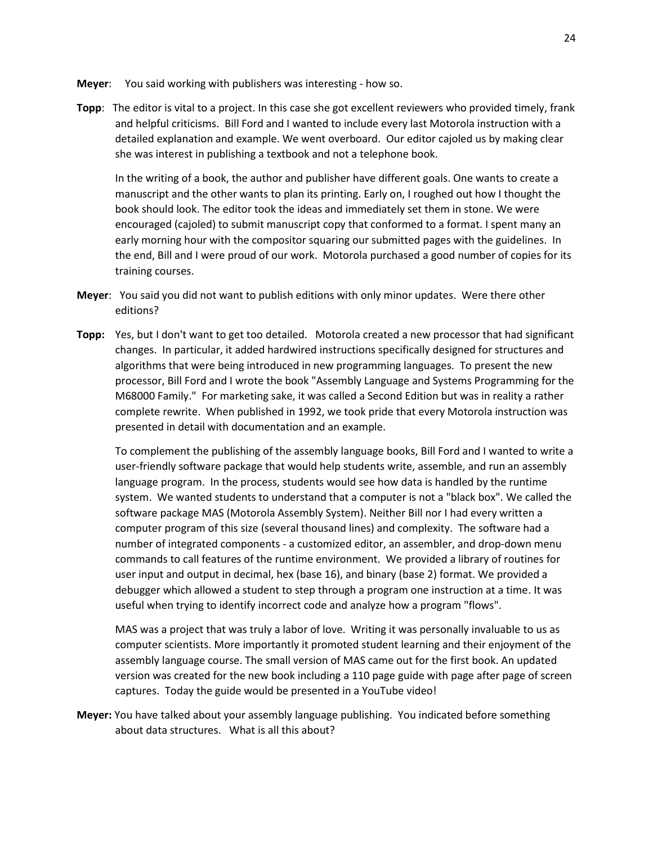- **Meyer**: You said working with publishers was interesting how so.
- **Topp**: The editor is vital to a project. In this case she got excellent reviewers who provided timely, frank and helpful criticisms. Bill Ford and I wanted to include every last Motorola instruction with a detailed explanation and example. We went overboard. Our editor cajoled us by making clear she was interest in publishing a textbook and not a telephone book.

In the writing of a book, the author and publisher have different goals. One wants to create a manuscript and the other wants to plan its printing. Early on, I roughed out how I thought the book should look. The editor took the ideas and immediately set them in stone. We were encouraged (cajoled) to submit manuscript copy that conformed to a format. I spent many an early morning hour with the compositor squaring our submitted pages with the guidelines. In the end, Bill and I were proud of our work. Motorola purchased a good number of copies for its training courses.

- **Meyer**: You said you did not want to publish editions with only minor updates. Were there other editions?
- **Topp:** Yes, but I don't want to get too detailed. Motorola created a new processor that had significant changes. In particular, it added hardwired instructions specifically designed for structures and algorithms that were being introduced in new programming languages. To present the new processor, Bill Ford and I wrote the book "Assembly Language and Systems Programming for the M68000 Family." For marketing sake, it was called a Second Edition but was in reality a rather complete rewrite. When published in 1992, we took pride that every Motorola instruction was presented in detail with documentation and an example.

To complement the publishing of the assembly language books, Bill Ford and I wanted to write a user-friendly software package that would help students write, assemble, and run an assembly language program. In the process, students would see how data is handled by the runtime system. We wanted students to understand that a computer is not a "black box". We called the software package MAS (Motorola Assembly System). Neither Bill nor I had every written a computer program of this size (several thousand lines) and complexity. The software had a number of integrated components - a customized editor, an assembler, and drop-down menu commands to call features of the runtime environment. We provided a library of routines for user input and output in decimal, hex (base 16), and binary (base 2) format. We provided a debugger which allowed a student to step through a program one instruction at a time. It was useful when trying to identify incorrect code and analyze how a program "flows".

MAS was a project that was truly a labor of love. Writing it was personally invaluable to us as computer scientists. More importantly it promoted student learning and their enjoyment of the assembly language course. The small version of MAS came out for the first book. An updated version was created for the new book including a 110 page guide with page after page of screen captures. Today the guide would be presented in a YouTube video!

**Meyer:** You have talked about your assembly language publishing. You indicated before something about data structures. What is all this about?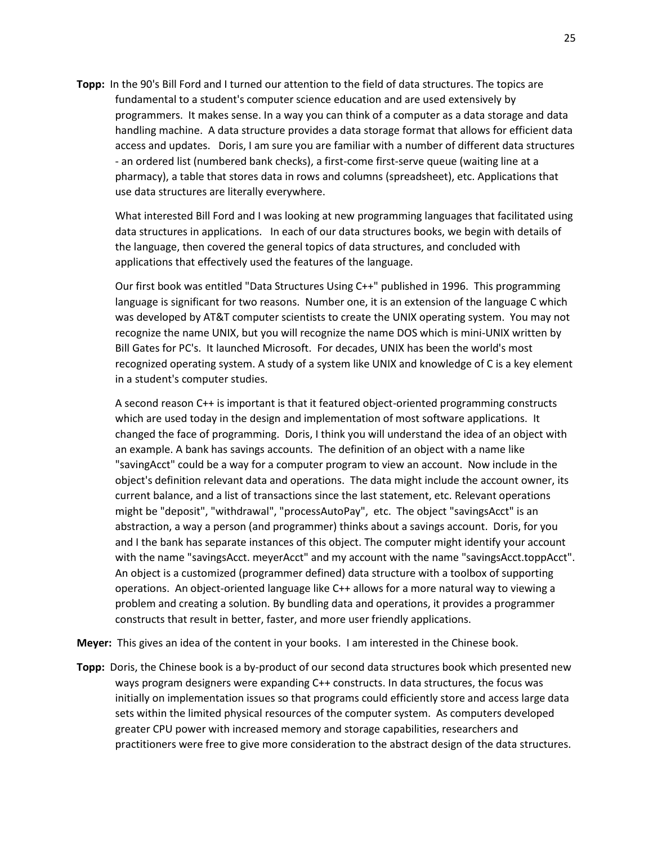**Topp:** In the 90's Bill Ford and I turned our attention to the field of data structures. The topics are fundamental to a student's computer science education and are used extensively by programmers. It makes sense. In a way you can think of a computer as a data storage and data handling machine. A data structure provides a data storage format that allows for efficient data access and updates. Doris, I am sure you are familiar with a number of different data structures - an ordered list (numbered bank checks), a first-come first-serve queue (waiting line at a pharmacy), a table that stores data in rows and columns (spreadsheet), etc. Applications that use data structures are literally everywhere.

What interested Bill Ford and I was looking at new programming languages that facilitated using data structures in applications. In each of our data structures books, we begin with details of the language, then covered the general topics of data structures, and concluded with applications that effectively used the features of the language.

Our first book was entitled "Data Structures Using C++" published in 1996. This programming language is significant for two reasons. Number one, it is an extension of the language C which was developed by AT&T computer scientists to create the UNIX operating system. You may not recognize the name UNIX, but you will recognize the name DOS which is mini-UNIX written by Bill Gates for PC's. It launched Microsoft. For decades, UNIX has been the world's most recognized operating system. A study of a system like UNIX and knowledge of C is a key element in a student's computer studies.

A second reason C++ is important is that it featured object-oriented programming constructs which are used today in the design and implementation of most software applications. It changed the face of programming. Doris, I think you will understand the idea of an object with an example. A bank has savings accounts. The definition of an object with a name like "savingAcct" could be a way for a computer program to view an account. Now include in the object's definition relevant data and operations. The data might include the account owner, its current balance, and a list of transactions since the last statement, etc. Relevant operations might be "deposit", "withdrawal", "processAutoPay", etc. The object "savingsAcct" is an abstraction, a way a person (and programmer) thinks about a savings account. Doris, for you and I the bank has separate instances of this object. The computer might identify your account with the name "savingsAcct. meyerAcct" and my account with the name "savingsAcct.toppAcct". An object is a customized (programmer defined) data structure with a toolbox of supporting operations. An object-oriented language like C++ allows for a more natural way to viewing a problem and creating a solution. By bundling data and operations, it provides a programmer constructs that result in better, faster, and more user friendly applications.

**Meyer:** This gives an idea of the content in your books. I am interested in the Chinese book.

**Topp:** Doris, the Chinese book is a by-product of our second data structures book which presented new ways program designers were expanding C++ constructs. In data structures, the focus was initially on implementation issues so that programs could efficiently store and access large data sets within the limited physical resources of the computer system. As computers developed greater CPU power with increased memory and storage capabilities, researchers and practitioners were free to give more consideration to the abstract design of the data structures.